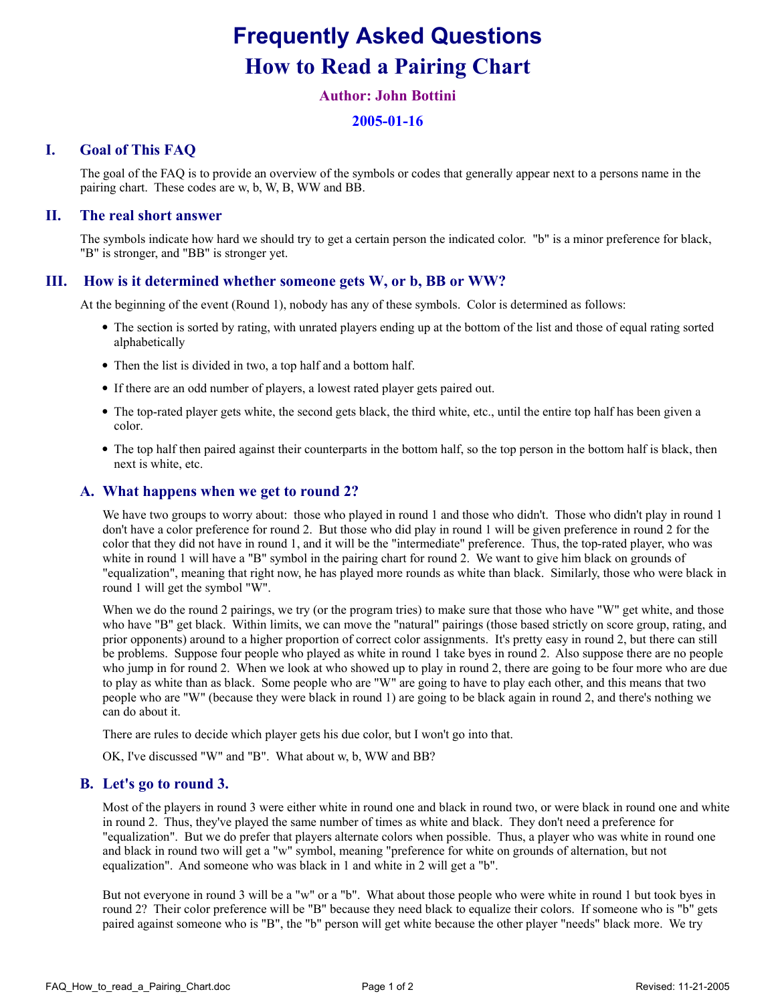# Frequently Asked Questions How to Read a Pairing Chart

# Author: John Bottini

## 2005-01-16

# I. Goal of This FAQ

The goal of the FAQ is to provide an overview of the symbols or codes that generally appear next to a persons name in the pairing chart. These codes are w, b, W, B, WW and BB.

### II. The real short answer

The symbols indicate how hard we should try to get a certain person the indicated color. "b" is a minor preference for black, "B" is stronger, and "BB" is stronger yet.

#### III. How is it determined whether someone gets W, or b, BB or WW?

At the beginning of the event (Round 1), nobody has any of these symbols. Color is determined as follows:

- The section is sorted by rating, with unrated players ending up at the bottom of the list and those of equal rating sorted alphabetically
- Then the list is divided in two, a top half and a bottom half.
- If there are an odd number of players, a lowest rated player gets paired out.
- The top-rated player gets white, the second gets black, the third white, etc., until the entire top half has been given a color.
- The top half then paired against their counterparts in the bottom half, so the top person in the bottom half is black, then next is white, etc.

### A. What happens when we get to round 2?

We have two groups to worry about: those who played in round 1 and those who didn't. Those who didn't play in round 1 don't have a color preference for round 2. But those who did play in round 1 will be given preference in round 2 for the color that they did not have in round 1, and it will be the "intermediate" preference. Thus, the top-rated player, who was white in round 1 will have a "B" symbol in the pairing chart for round 2. We want to give him black on grounds of "equalization", meaning that right now, he has played more rounds as white than black. Similarly, those who were black in round 1 will get the symbol "W".

When we do the round 2 pairings, we try (or the program tries) to make sure that those who have "W" get white, and those who have "B" get black. Within limits, we can move the "natural" pairings (those based strictly on score group, rating, and prior opponents) around to a higher proportion of correct color assignments. It's pretty easy in round 2, but there can still be problems. Suppose four people who played as white in round 1 take byes in round 2. Also suppose there are no people who jump in for round 2. When we look at who showed up to play in round 2, there are going to be four more who are due to play as white than as black. Some people who are "W" are going to have to play each other, and this means that two people who are "W" (because they were black in round 1) are going to be black again in round 2, and there's nothing we can do about it.

There are rules to decide which player gets his due color, but I won't go into that.

OK, I've discussed "W" and "B". What about w, b, WW and BB?

#### B. Let's go to round 3.

Most of the players in round 3 were either white in round one and black in round two, or were black in round one and white in round 2. Thus, they've played the same number of times as white and black. They don't need a preference for "equalization". But we do prefer that players alternate colors when possible. Thus, a player who was white in round one and black in round two will get a "w" symbol, meaning "preference for white on grounds of alternation, but not equalization". And someone who was black in 1 and white in 2 will get a "b".

But not everyone in round 3 will be a "w" or a "b". What about those people who were white in round 1 but took byes in round 2? Their color preference will be "B" because they need black to equalize their colors. If someone who is "b" gets paired against someone who is "B", the "b" person will get white because the other player "needs" black more. We try